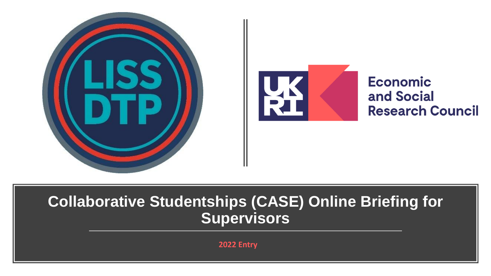



**Economic** and Social **Research Council** 

### **Collaborative Studentships (CASE) Online Briefing for Supervisors**

**2022 Entry**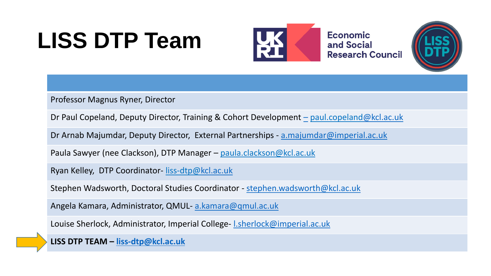## **LISS DTP Team**



**Economic** and Social **Research Council** 



Professor Magnus Ryner, Director

Dr Paul Copeland, Deputy Director, Training & Cohort Development [–](mailto:Linnaea.Stockall@kcl.ac.uk) paul.copeland[@kcl.ac.uk](mailto:Linnaea.Stockall@kcl.ac.uk)

Dr Arnab Majumdar, Deputy Director, External Partnerships - [a.majumdar@imperial.ac.uk](mailto:a.majumdar@imperial.ac.uk)

Paula Sawyer (nee Clackson), DTP Manager – paula.clackson@kcl.ac.uk

Ryan Kelley, DTP Coordinator- liss-dtp[@kcl.ac.uk](mailto:emma.buckley-Watson@kcl.ac.uk)

Stephen Wadsworth, Doctoral Studies Coordinator - [stephen.wadsworth@kcl.ac.uk](mailto:stephen.wadsworth@kcl.ac.uk)

Angela Kamara, Administrator, QMUL- [a.kamara@qmul.ac.uk](mailto:a.kamara@qmul.ac.uk)

Louise Sherlock, Administrator, Imperial College- Lsherlock@imperial.ac.uk

**LISS DTP TEAM – [liss-dtp@kcl.ac.uk](mailto:%20liss-dtp@kcl.ac.uk)**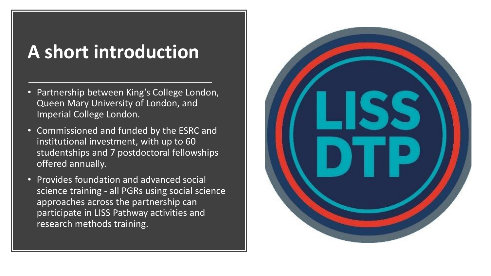## **A short introduction**

- Partnership between King's College London, Queen Mary University of London, and Imperial College London.
- Commissioned and funded by the ESRC and institutional investment, with up to 60 studentships and 7 postdoctoral fellowships offered annually.
- Provides foundation and advanced social science training - all PGRs using social science approaches across the partnership can participate in LISS Pathway activities and research methods training.

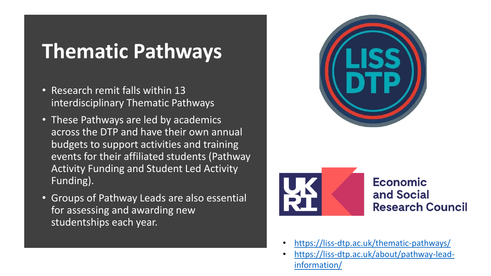## **Thematic Pathways**

- Research remit falls within 13 interdisciplinary Thematic Pathways
- These Pathways are led by academics across the DTP and have their own annual budgets to support activities and training events for their affiliated students (Pathway Activity Funding and Student Led Activity Funding).
- Groups of Pathway Leads are also essential for assessing and awarding new studentships each year.





### **Economic** and Social **Research Council**

- <https://liss-dtp.ac.uk/thematic-pathways/>
- [https://liss-dtp.ac.uk/about/pathway-lead](https://liss-dtp.ac.uk/about/pathway-lead-information/)information/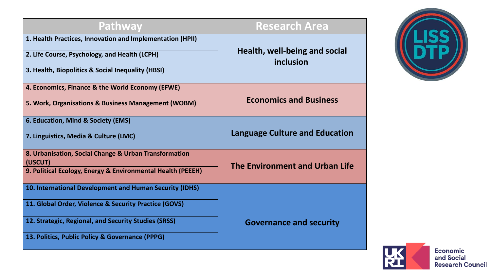| Pathway                                                          | <b>Research Area</b>                       |  |
|------------------------------------------------------------------|--------------------------------------------|--|
| 1. Health Practices, Innovation and Implementation (HPII)        | Health, well-being and social<br>inclusion |  |
| 2. Life Course, Psychology, and Health (LCPH)                    |                                            |  |
| 3. Health, Biopolitics & Social Inequality (HBSI)                |                                            |  |
| 4. Economics, Finance & the World Economy (EFWE)                 | <b>Economics and Business</b>              |  |
| 5. Work, Organisations & Business Management (WOBM)              |                                            |  |
| 6. Education, Mind & Society (EMS)                               | <b>Language Culture and Education</b>      |  |
| 7. Linguistics, Media & Culture (LMC)                            |                                            |  |
| 8. Urbanisation, Social Change & Urban Transformation<br>(USCUT) |                                            |  |
| 9. Political Ecology, Energy & Environmental Health (PEEEH)      | The Environment and Urban Life             |  |
| 10. International Development and Human Security (IDHS)          |                                            |  |
| 11. Global Order, Violence & Security Practice (GOVS)            | <b>Governance and security</b>             |  |
| 12. Strategic, Regional, and Security Studies (SRSS)             |                                            |  |
| 13. Politics, Public Policy & Governance (PPPG)                  |                                            |  |



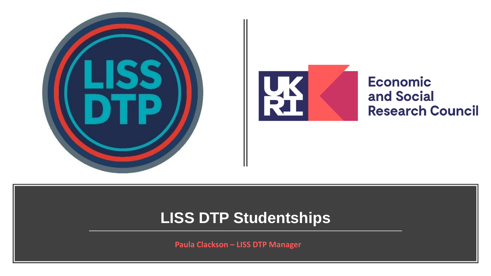



**Economic** and Social **Research Council** 

### **LISS DTP Studentships**

**Paula Clackson – LISS DTP Manager**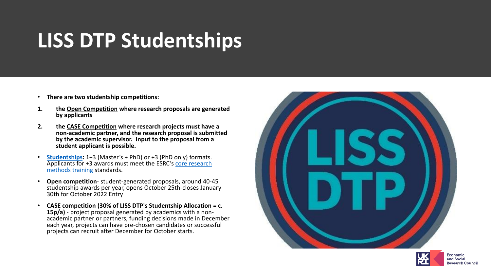## **LISS DTP Studentships**

- **There are two studentship competitions:**
- **1. the [Open Competition](https://liss-dtp.ac.uk/studentships/studentship-competition-the-application-process/) where research proposals are generated by applicants**
- **2. the [CASE Competition](https://liss-dtp.ac.uk/case-studentships-student-applicants/) where research projects must have a non-academic partner, and the research proposal is submitted by the academic supervisor. Input to the proposal from a student applicant is possible.**
- **[Studentships](https://liss-dtp.ac.uk/studentships/):** 1+3 (Master's + PhD) or +3 (PhD only) formats. [Applicants for +3 awards must meet the ESRC's](https://liss-dtp.ac.uk/studentships/core-training-requirements/) core research methods training standards.
- **Open competition** student-generated proposals, around 40-45 studentship awards per year, opens October 25th-closes January 30th for October 2022 Entry
- **CASE competition (30% of LISS DTP's Studentship Allocation = c. 15p/a)** - project proposal generated by academics with a nonacademic partner or partners, funding decisions made in December each year, projects can have pre-chosen candidates or successful projects can recruit after December for October starts.



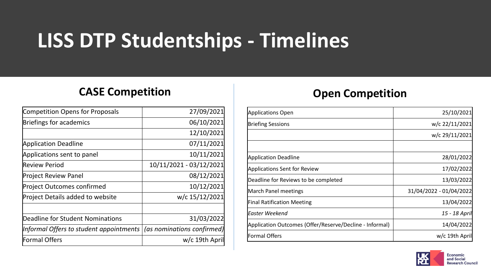## **LISS DTP Studentships - Timelines**

### **CASE Competition CASE** Competition

| <b>Competition Opens for Proposals</b>         | 27/09/2021                 |
|------------------------------------------------|----------------------------|
| Briefings for academics                        | 06/10/2021                 |
|                                                | 12/10/2021                 |
| <b>Application Deadline</b>                    | 07/11/2021                 |
| Applications sent to panel                     | 10/11/2021                 |
| Review Period                                  | 10/11/2021 - 03/12/2021    |
| Project Review Panel                           | 08/12/2021                 |
| Project Outcomes confirmed                     | 10/12/2021                 |
| Project Details added to website               | w/c 15/12/2021             |
|                                                |                            |
| Deadline for Student Nominations               | 31/03/2022                 |
| Informal Offers to student appointments $\mid$ | (as nominations confirmed) |
| Formal Offers                                  | w/c 19th April             |
|                                                |                            |

| <b>Applications Open</b>                                | 25/10/2021              |
|---------------------------------------------------------|-------------------------|
| <b>Briefing Sessions</b>                                | w/c 22/11/2021          |
|                                                         | w/c 29/11/2021          |
|                                                         |                         |
| <b>Application Deadline</b>                             | 28/01/2022              |
| <b>Applications Sent for Review</b>                     | 17/02/2022              |
| Deadline for Reviews to be completed                    | 13/03/2022              |
| March Panel meetings                                    | 31/04/2022 - 01/04/2022 |
| <b>Final Ratification Meeting</b>                       | 13/04/2022              |
| Easter Weekend                                          | 15 - 18 April           |
| Application Outcomes (Offer/Reserve/Decline - Informal) | 14/04/2022              |
| Formal Offers                                           | w/c 19th April          |

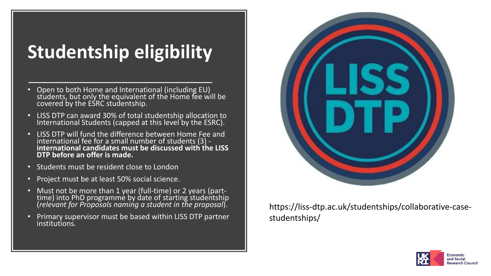## **Studentship eligibility**

- Open to both Home and International (including EU) students, but only the equivalent of the Home fee will be covered by the ESRC studentship.
- LISS DTP can award 30% of total studentship allocation to International Students (capped at this level by the ESRC).
- LISS DTP will fund the difference between Home Fee and international fee for a small number of students (3) **international candidates must be discussed with the LISS DTP before an offer is made.**
- Students must be resident close to London
- Project must be at least 50% social science.
- Must not be more than 1 year (full-time) or 2 years (parttime) into PhD programme by date of starting studentship (*relevant for Proposals naming a student in the proposal*).
- Primary supervisor must be based within LISS DTP partner institutions.



https://liss-dtp.ac.uk/studentships/collaborative-casestudentships/

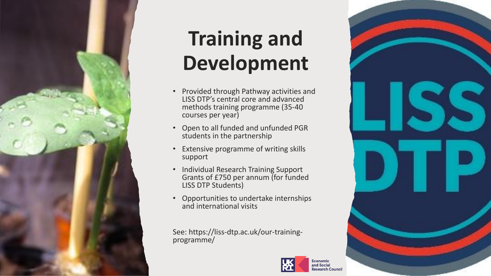

## **Training and Development**

- Provided through Pathway activities and LISS DTP's central core and advanced methods training programme (35-40 courses per year)
- Open to all funded and unfunded PGR students in the partnership
- Extensive programme of writing skills support
- Individual Research Training Support Grants of £750 per annum (for funded LISS DTP Students)
- Opportunities to undertake internships and international visits

See: https://liss-dtp.ac.uk/our-trainingprogramme/



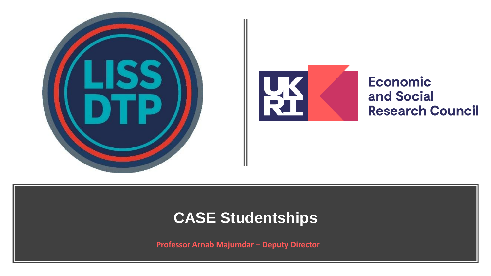



**Economic** and Social **Research Council** 

### **CASE Studentships**

**Professor Arnab Majumdar – Deputy Director**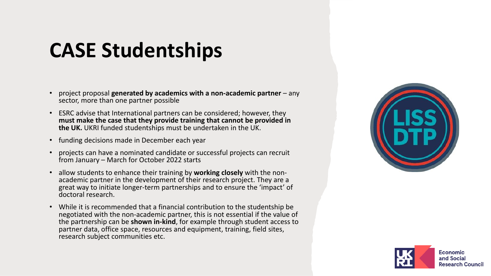## **CASE Studentships**

- project proposal **generated by academics with a non-academic partner**  any sector, more than one partner possible
- ESRC advise that International partners can be considered; however, they **must make the case that they provide training that cannot be provided in the UK.** UKRI funded studentships must be undertaken in the UK.
- funding decisions made in December each year
- projects can have a nominated candidate or successful projects can recruit from January – March for October 2022 starts
- allow students to enhance their training by **working closely** with the nonacademic partner in the development of their research project. They are a great way to initiate longer-term partnerships and to ensure the 'impact' of doctoral research.
- While it is recommended that a financial contribution to the studentship be negotiated with the non-academic partner, this is not essential if the value of the partnership can be **shown in-kind**, for example through student access to partner data, office space, resources and equipment, training, field sites, research subject communities etc.



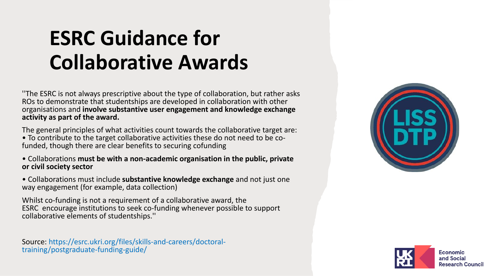## **ESRC Guidance for Collaborative Awards**

''The ESRC is not always prescriptive about the type of collaboration, but rather asks ROs to demonstrate that studentships are developed in collaboration with other organisations and **involve substantive user engagement and knowledge exchange activity as part of the award.**

The general principles of what activities count towards the collaborative target are: • To contribute to the target collaborative activities these do not need to be cofunded, though there are clear benefits to securing cofunding

• Collaborations **must be with a non-academic organisation in the public, private or civil society sector** 

• Collaborations must include **substantive knowledge exchange** and not just one way engagement (for example, data collection)

Whilst co-funding is not a requirement of a collaborative award, the ESRC encourage institutions to seek co-funding whenever possible to support collaborative elements of studentships.''

Source: https://esrc.ukri.org/files/skills-and-careers/doctoraltraining/postgraduate-funding-guide/



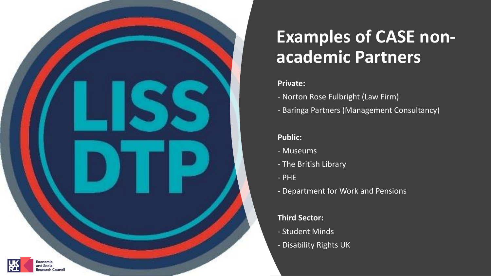

## **Examples of CASE nonacademic Partners**

### **Private:**

- Norton Rose Fulbright (Law Firm)
- Baringa Partners (Management Consultancy)

### **Public:**

- Museums
- The British Library
- PHE
- Department for Work and Pensions

### **Third Sector:**

- Student Minds
- Disability Rights UK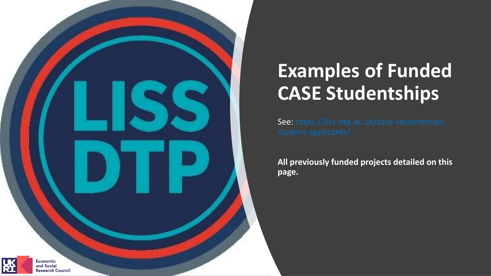

## **Examples of Funded CASE Studentships**

See: https://liss-dtp.ac.uk/case-studentships-

**All previously funded projects detailed on this page.**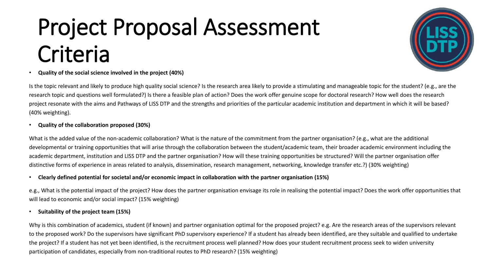# Project Proposal Assessment Criteria



#### • **Quality of the social science involved in the project (40%)**

Is the topic relevant and likely to produce high quality social science? Is the research area likely to provide a stimulating and manageable topic for the student? (e.g., are the research topic and questions well formulated?) Is there a feasible plan of action? Does the work offer genuine scope for doctoral research? How well does the research project resonate with the aims and Pathways of LISS DTP and the strengths and priorities of the particular academic institution and department in which it will be based? (40% weighting).

#### • **Quality of the collaboration proposed (30%)**

What is the added value of the non-academic collaboration? What is the nature of the commitment from the partner organisation? (e.g., what are the additional developmental or training opportunities that will arise through the collaboration between the student/academic team, their broader academic environment including the academic department, institution and LISS DTP and the partner organisation? How will these training opportunities be structured? Will the partner organisation offer distinctive forms of experience in areas related to analysis, dissemination, research management, networking, knowledge transfer etc.?) (30% weighting)

#### • **Clearly defined potential for societal and/or economic impact in collaboration with the partner organisation (15%)**

e.g., What is the potential impact of the project? How does the partner organisation envisage its role in realising the potential impact? Does the work offer opportunities that will lead to economic and/or social impact? (15% weighting)

#### • **Suitability of the project team (15%)**

Why is this combination of academics, student (if known) and partner organisation optimal for the proposed project? e.g. Are the research areas of the supervisors relevant to the proposed work? Do the supervisors have significant PhD supervisory experience? If a student has already been identified, are they suitable and qualified to undertake the project? If a student has not yet been identified, is the recruitment process well planned? How does your student recruitment process seek to widen university participation of candidates, especially from non-traditional routes to PhD research? (15% weighting)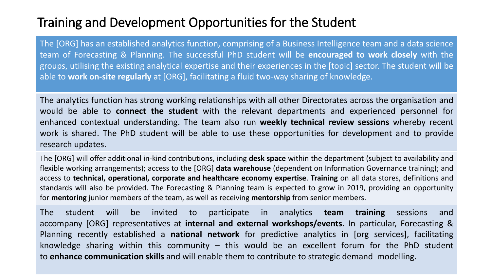### Training and Development Opportunities for the Student

The [ORG] has an established analytics function, comprising of a Business Intelligence team and a data science team of Forecasting & Planning. The successful PhD student will be **encouraged to work closely** with the groups, utilising the existing analytical expertise and their experiences in the [topic] sector. The student will be able to **work on-site regularly** at [ORG], facilitating a fluid two-way sharing of knowledge.

The analytics function has strong working relationships with all other Directorates across the organisation and would be able to **connect the student** with the relevant departments and experienced personnel for enhanced contextual understanding. The team also run **weekly technical review sessions** whereby recent work is shared. The PhD student will be able to use these opportunities for development and to provide research updates.

The [ORG] will offer additional in-kind contributions, including **desk space** within the department (subject to availability and flexible working arrangements); access to the [ORG] **data warehouse** (dependent on Information Governance training); and access to **technical, operational, corporate and healthcare economy expertise**. **Training** on all data stores, definitions and standards will also be provided. The Forecasting & Planning team is expected to grow in 2019, providing an opportunity for **mentoring** junior members of the team, as well as receiving **mentorship** from senior members.

The student will be invited to participate in analytics **team training** sessions and accompany [ORG] representatives at **internal and external workshops/events**. In particular, Forecasting & Planning recently established a **national network** for predictive analytics in [org services], facilitating knowledge sharing within this community – this would be an excellent forum for the PhD student to **enhance communication skills** and will enable them to contribute to strategic demand modelling.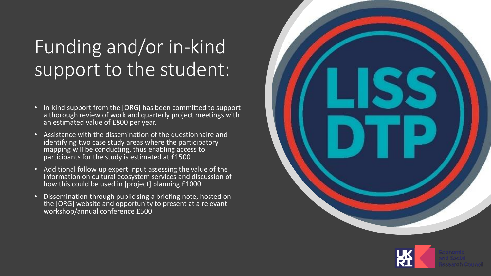## Funding and/or in-kind support to the student:

- In-kind support from the [ORG] has been committed to support a thorough review of work and quarterly project meetings with an estimated value of £800 per year.
- Assistance with the dissemination of the questionnaire and identifying two case study areas where the participatory mapping will be conducting, thus enabling access to participants for the study is estimated at £1500
- Additional follow up expert input assessing the value of the information on cultural ecosystem services and discussion of how this could be used in [project] planning £1000
- Dissemination through publicising a briefing note, hosted on the [ORG] website and opportunity to present at a relevant workshop/annual conference £500



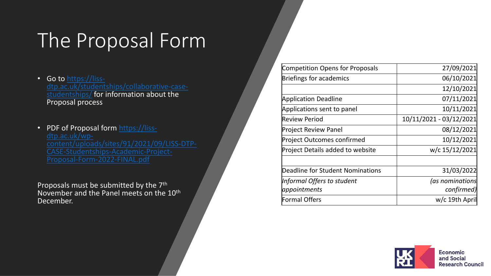## The Proposal Form

- Go to https://liss[dtp.ac.uk/studentships/collaborative-case](https://liss-dtp.ac.uk/studentships/collaborative-case-studentships/)studentships/ for information about the Proposal process
- PDF of Proposal form https://lissdtp.ac.uk/wp [content/uploads/sites/91/2021/09/LISS](https://liss-dtp.ac.uk/wp-content/uploads/sites/91/2021/09/LISS-DTP-CASE-Studentships-Academic-Project-Proposal-Form-2022-FINAL.pdf) -DTP - Proposal-Form-2022-FINAL.pdf

Proposals must be submitted by the 7<sup>th</sup> November and the Panel meets on the 10<sup>th</sup> December.

| 27/09/2021              |
|-------------------------|
| 06/10/2021              |
| 12/10/2021              |
| 07/11/2021              |
| 10/11/2021              |
| 10/11/2021 - 03/12/2021 |
| 08/12/2021              |
| 10/12/2021              |
| w/c 15/12/2021          |
| 31/03/2022              |
| (as nominations         |
| confirmed)              |
| w/c 19th April          |
|                         |